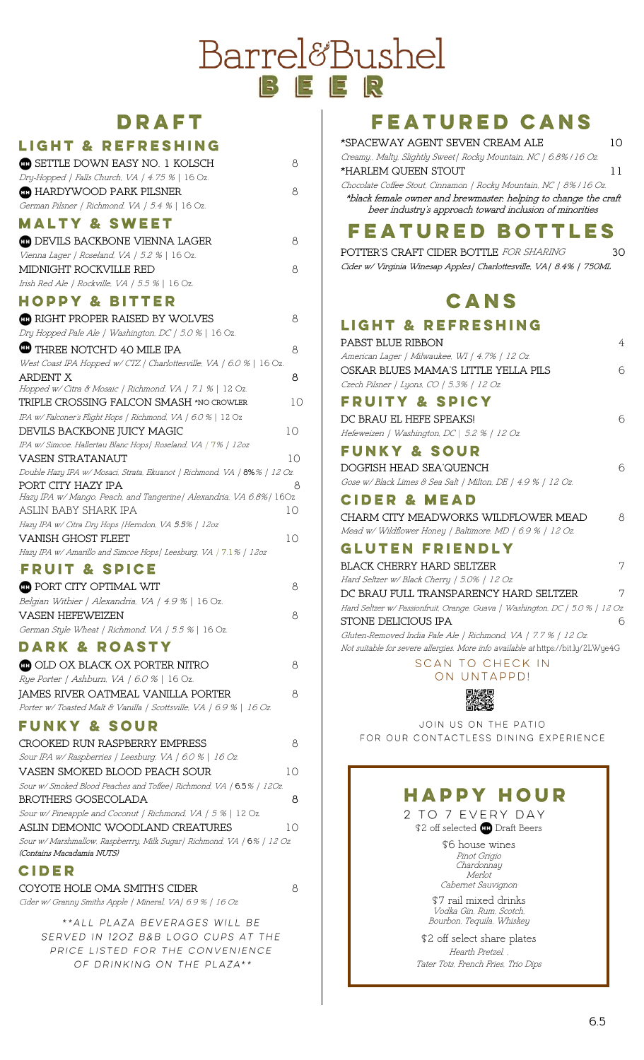# Barrel&Bushel

## **DRAFT**

#### **LIGHT & REFRESHING**

| <b>CD</b> SETTLE DOWN EASY NO. 1 KOLSCH<br>Dry-Hopped   Falls Church. VA   4.75 %   16 Oz.     | 8  |
|------------------------------------------------------------------------------------------------|----|
| <b>CO</b> HARDYWOOD PARK PILSNER<br>German Pilsner   Richmond. VA   5.4 %   16 Oz.             | 8  |
| <b>MALTY &amp; SWEET</b>                                                                       |    |
| <b>CD</b> DEVILS BACKBONE VIENNA LAGER                                                         | 8  |
| Vienna Lager   Roseland, VA   5.2 %   16 Oz.                                                   |    |
| MIDNIGHT ROCKVILLE RED                                                                         | 8  |
| Irish Red Ale   Rockville, VA   5.5 %   16 Oz.                                                 |    |
| <b>HOPPY &amp; BITTER</b>                                                                      |    |
| <b>CD</b> RIGHT PROPER RAISED BY WOLVES                                                        | 8  |
| Dry Hopped Pale Ale   Washington, DC   5.0 %   16 Oz.                                          |    |
| <b>THREE NOTCH'D 40 MILE IPA</b>                                                               | 8  |
| West Coast IPA Hopped w/ CTZ / Charlottesville, VA / 6.0 %   16 Oz.                            |    |
| ARDENT X                                                                                       | 8  |
| Hopped w/ Citra & Mosaic   Richmond, VA   7.1 %   12 Oz.                                       |    |
| TRIPLE CROSSING FALCON SMASH *NO CROWLER                                                       | 10 |
| IPA w/Falconer's Flight Hops   Richmond. VA   6.0 %   12 Oz                                    |    |
| DEVILS BACKBONE JUICY MAGIC                                                                    | 10 |
| IPA w/Simcoe, Hallertau Blanc Hops   Roseland, VA   7%   12oz                                  |    |
| VASEN STRATANAUT                                                                               | 10 |
| Double Hazy IPA w/ Mosaci, Strata, Ekuanot   Richmond, VA   8%%   12 Oz.                       |    |
| PORT CITY HAZY IPA<br>Hazy IPA w/ Mango, Peach, and Tangerine   Alexandria, VA 6.8%   160z     | 8  |
| ASLIN BABY SHARK IPA                                                                           | 10 |
| Hazy IPA w/ Citra Dry Hops   Herndon, VA 5.5%   12oz                                           |    |
| <b>VANISH GHOST FLEET</b>                                                                      | 10 |
| Hazy IPA w/ Amarillo and Simcoe Hops   Leesburg. VA   7.1%   12oz                              |    |
| <b>FRUIT &amp; SPICE</b>                                                                       |    |
| <b>CD</b> PORT CITY OPTIMAL WIT                                                                | 8  |
| Belgian Witbier   Alexandria, VA   4.9 %   16 Oz.                                              |    |
| <b>VASEN HEFEWEIZEN</b>                                                                        | 8  |
| German Style Wheat   Richmond, VA   5.5 %   16 Oz.                                             |    |
| <b>DARK &amp; ROASTY</b>                                                                       |    |
| <b>CD</b> OLD OX BLACK OX PORTER NITRO                                                         | 8  |
| Rye Porter   Ashburn, VA   6.0 %   16 Oz.                                                      |    |
| JAMES RIVER OATMEAL VANILLA PORTER                                                             | 8  |
| Porter w/Toasted Malt & Vanilla   Scottsville, VA   6.9 %   16 Oz.                             |    |
| <b>FUNKY &amp; SOUR</b>                                                                        |    |
|                                                                                                |    |
| <b>CROOKED RUN RASPBERRY EMPRESS</b>                                                           | 8  |
| Sour IPA w/Raspberries   Leesburg. VA   6.0 %   16 Oz.                                         |    |
| VASEN SMOKED BLOOD PEACH SOUR                                                                  | 10 |
| Sour w/ Smoked Blood Peaches and Toffee   Richmond, VA   6.5%   120z.                          |    |
| <b>BROTHERS GOSECOLADA</b>                                                                     | 8  |
| Sour w/Pineapple and Coconut   Richmond, VA   5 %   12 Oz.<br>ASLIN DEMONIC WOODLAND CREATURES | 10 |
| Sour w/ Marshmallow, Raspberrry, Milk Sugar   Richmond, VA   6%   12 Oz.                       |    |
| (Contains Macadamia NUTS)                                                                      |    |
| CIDER                                                                                          |    |
| COYOTE HOLE OMA SMITH'S CIDER                                                                  | 8  |
| Cider w/ Granny Smiths Apple   Mineral, VA   6.9 %   16 Oz.                                    |    |
|                                                                                                |    |

\*\* ALL PLAZA BEVERAGES WILL BE SERVED IN 120Z B&B LOGO CUPS AT THE PRICE LISTED FOR THE CONVENIENCE OF DRINKING ON THE PLAZA \*\*

## **FEATURED CANS**

| *SPACEWAY AGENT SEVEN CREAM ALE                                                                                                                                                                   | 10 |
|---------------------------------------------------------------------------------------------------------------------------------------------------------------------------------------------------|----|
| Creamy, Malty, Slightly Sweet   Rocky Mountain, NC   6.8% / 16 Oz.<br>*HARLEM QUEEN STOUT                                                                                                         | 11 |
| Chocolate Coffee Stout, Cinnamon   Rocky Mountain, NC   8%   16 Oz.<br>*black female owner and brewmaster; helping to change the craft<br>beer industry's approach toward inclusion of minorities |    |
| FEATURED BOTTLES                                                                                                                                                                                  |    |
| POTTER'S CRAFT CIDER BOTTLE FOR SHARING<br>Cider w/ Virginia Winesap Apples   Charlottesville, VA   8.4%   750ML                                                                                  | 30 |
| CANS                                                                                                                                                                                              |    |
| LIGHT & REFRESHING                                                                                                                                                                                |    |
| PABST BLUE RIBBON                                                                                                                                                                                 | 4  |
| American Lager   Milwaukee, WI   4.7%   12 Oz.<br>OSKAR BLUES MAMA'S LITTLE YELLA PILS                                                                                                            | 6  |
| Czech Pilsner   Lyons. CO   5.3%   12 Oz.                                                                                                                                                         |    |
| <b>FRUITY &amp; SPICY</b>                                                                                                                                                                         |    |
| DC BRAU EL HEFE SPEAKS!                                                                                                                                                                           | 6  |
| Hefeweizen   Washington, DC   5.2 %   12 Oz.                                                                                                                                                      |    |
| <b>FUNKY &amp; SOUR</b>                                                                                                                                                                           |    |
| DOGFISH HEAD SEA'QUENCH                                                                                                                                                                           | 6  |
| Gose w/ Black Limes & Sea Salt   Milton, DE   4.9 %   12 Oz.                                                                                                                                      |    |
| <b>CIDER &amp; MEAD</b>                                                                                                                                                                           |    |
| CHARM CITY MEADWORKS WILDFLOWER MEAD<br>Mead w/Wildflower Honey   Baltimore, MD   6.9 %   12 Oz.                                                                                                  | 8  |
| <b>GLUTEN FRIENDLY</b>                                                                                                                                                                            |    |
| BLACK CHERRY HARD SELTZER                                                                                                                                                                         | 7  |
| Hard Seltzer w/ Black Cherry   5.0%   12 Oz.<br>DC BRAU FULL TRANSPARENCY HARD SELTZER                                                                                                            | 7  |
| Hard Seltzer w/ Passionfruit, Orange, Guava   Washington, DC   5.0 %   12 Oz.                                                                                                                     |    |
| STONE DELICIOUS IPA                                                                                                                                                                               | 6  |
| Gluten-Removed India Pale Ale   Richmond, VA   7.7 %   12 Oz.                                                                                                                                     |    |
| Not suitable for severe allergies. More info available at https://bit.ly/2LWye4G<br>SCAN TO CHECK IN                                                                                              |    |
| ON UNTAPPD!                                                                                                                                                                                       |    |
| 回形                                                                                                                                                                                                |    |
| JOIN US ON THE PATIO                                                                                                                                                                              |    |
| FOR OUR CONTACTLESS DINING EXPERIENCE                                                                                                                                                             |    |
|                                                                                                                                                                                                   |    |
|                                                                                                                                                                                                   |    |

### **HAPPY HOUR**

2 TO 7 EVERY DAY \$2 off selected **D** Draft Beers

> \$6 house wines Pinot Grigio Chardonnay Merlot Cabernet Sauvignon

\$7 rail mixed drinks Vodka Gin, Rum, Scotch, Bourbon, Tequila, Whiskey

\$2 off select share plates Hearth Pretzel, , Tater Tots, French Fries, Trio Dips